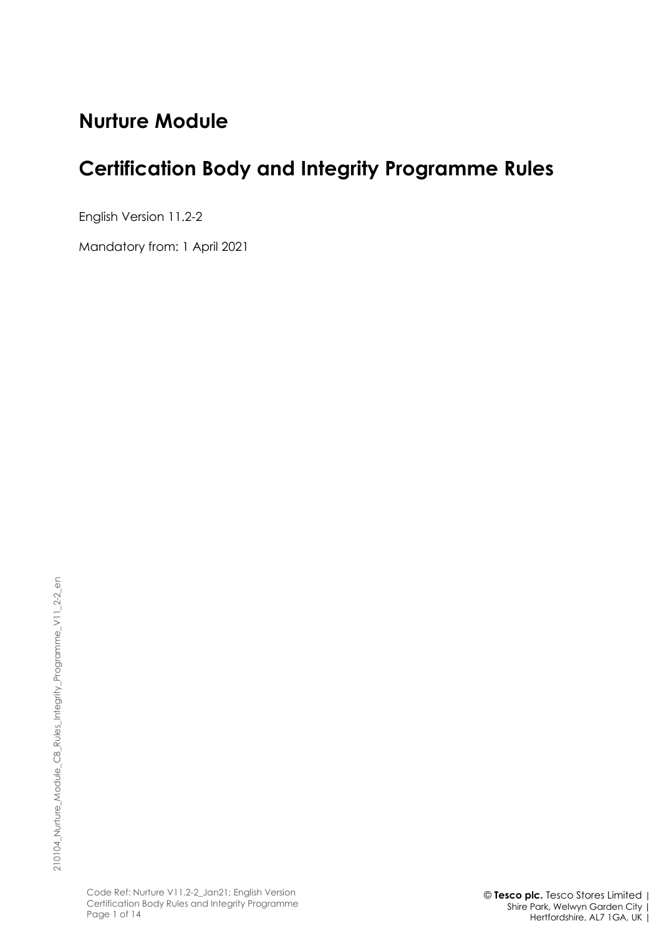# **Nurture Module**

# **Certification Body and Integrity Programme Rules**

English Version 11.2-2

Mandatory from: 1 April 2021

Code Ref: Nurture V11.2-2\_Jan21; English Version Certification Body Rules and Integrity Programme Page 1 of 14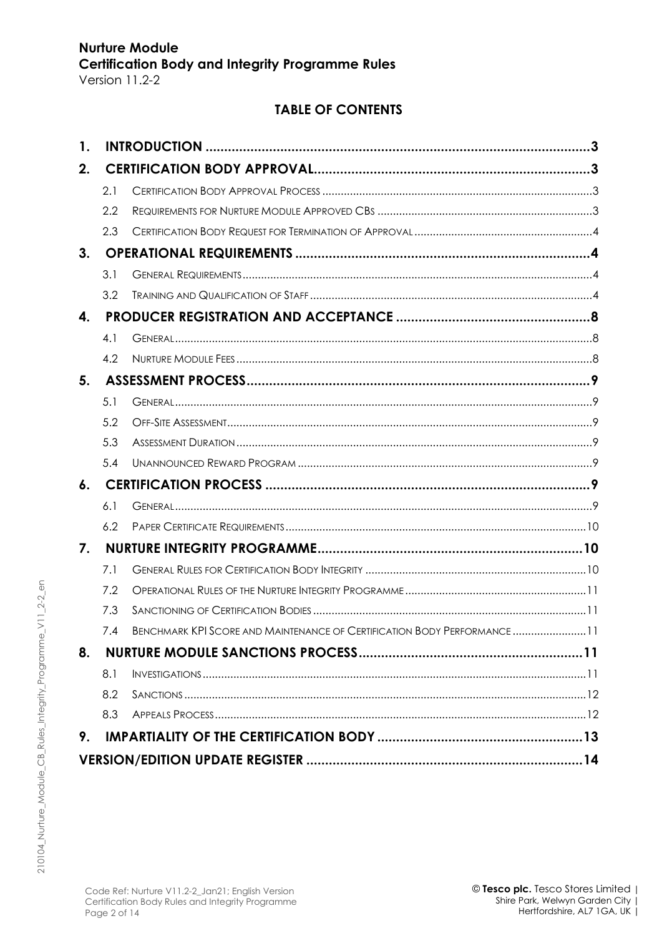| <b>TABLE OF CONTENTS</b> |
|--------------------------|
|--------------------------|

| 1. |     |                                                                          |  |  |  |  |
|----|-----|--------------------------------------------------------------------------|--|--|--|--|
| 2. |     |                                                                          |  |  |  |  |
|    | 2.1 |                                                                          |  |  |  |  |
|    | 2.2 |                                                                          |  |  |  |  |
|    | 2.3 |                                                                          |  |  |  |  |
| 3. |     |                                                                          |  |  |  |  |
|    | 3.1 |                                                                          |  |  |  |  |
|    | 3.2 |                                                                          |  |  |  |  |
| 4. |     |                                                                          |  |  |  |  |
|    | 4.1 |                                                                          |  |  |  |  |
|    | 4.2 |                                                                          |  |  |  |  |
| 5. |     |                                                                          |  |  |  |  |
|    | 5.1 |                                                                          |  |  |  |  |
|    | 5.2 |                                                                          |  |  |  |  |
|    | 5.3 |                                                                          |  |  |  |  |
|    | 5.4 |                                                                          |  |  |  |  |
| 6. |     |                                                                          |  |  |  |  |
|    | 6.1 |                                                                          |  |  |  |  |
|    | 6.2 |                                                                          |  |  |  |  |
| 7. |     |                                                                          |  |  |  |  |
|    | 7.1 |                                                                          |  |  |  |  |
|    | 7.2 |                                                                          |  |  |  |  |
|    | 7.3 |                                                                          |  |  |  |  |
|    | 74  | BENCHMARK KPI SCORE AND MAINTENANCE OF CERTIFICATION BODY PERFORMANCE 11 |  |  |  |  |
| 8. |     |                                                                          |  |  |  |  |
|    | 8.1 |                                                                          |  |  |  |  |
|    | 8.2 |                                                                          |  |  |  |  |
|    | 8.3 |                                                                          |  |  |  |  |
| 9. |     |                                                                          |  |  |  |  |
|    |     |                                                                          |  |  |  |  |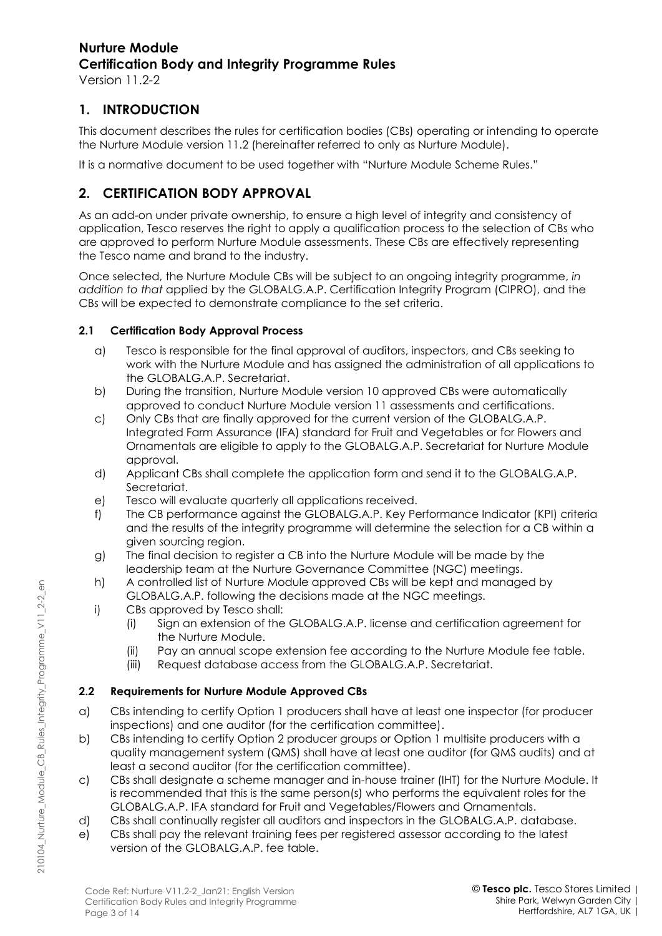## **1. INTRODUCTION**

This document describes the rules for certification bodies (CBs) operating or intending to operate the Nurture Module version 11.2 (hereinafter referred to only as Nurture Module).

It is a normative document to be used together with "Nurture Module Scheme Rules."

## **2. CERTIFICATION BODY APPROVAL**

As an add-on under private ownership, to ensure a high level of integrity and consistency of application, Tesco reserves the right to apply a qualification process to the selection of CBs who are approved to perform Nurture Module assessments. These CBs are effectively representing the Tesco name and brand to the industry.

Once selected, the Nurture Module CBs will be subject to an ongoing integrity programme, *in addition to that* applied by the GLOBALG.A.P. Certification Integrity Program (CIPRO), and the CBs will be expected to demonstrate compliance to the set criteria.

#### **2.1 Certification Body Approval Process**

- a) Tesco is responsible for the final approval of auditors, inspectors, and CBs seeking to work with the Nurture Module and has assigned the administration of all applications to the GLOBALG.A.P. Secretariat.
- b) During the transition, Nurture Module version 10 approved CBs were automatically approved to conduct Nurture Module version 11 assessments and certifications.
- c) Only CBs that are finally approved for the current version of the GLOBALG.A.P. Integrated Farm Assurance (IFA) standard for Fruit and Vegetables or for Flowers and Ornamentals are eligible to apply to the GLOBALG.A.P. Secretariat for Nurture Module approval.
- d) Applicant CBs shall complete the application form and send it to the GLOBALG.A.P. Secretariat.
- e) Tesco will evaluate quarterly all applications received.
- f) The CB performance against the GLOBALG.A.P. Key Performance Indicator (KPI) criteria and the results of the integrity programme will determine the selection for a CB within a given sourcing region.
- g) The final decision to register a CB into the Nurture Module will be made by the leadership team at the Nurture Governance Committee (NGC) meetings.
- h) A controlled list of Nurture Module approved CBs will be kept and managed by GLOBALG.A.P. following the decisions made at the NGC meetings.
- i) CBs approved by Tesco shall:
	- (i) Sign an extension of the GLOBALG.A.P. license and certification agreement for the Nurture Module.
	- (ii) Pay an annual scope extension fee according to the Nurture Module fee table.
	- (iii) Request database access from the GLOBALG.A.P. Secretariat.

#### **2.2 Requirements for Nurture Module Approved CBs**

- a) CBs intending to certify Option 1 producers shall have at least one inspector (for producer inspections) and one auditor (for the certification committee).
- b) CBs intending to certify Option 2 producer groups or Option 1 multisite producers with a quality management system (QMS) shall have at least one auditor (for QMS audits) and at least a second auditor (for the certification committee).
- c) CBs shall designate a scheme manager and in-house trainer (IHT) for the Nurture Module. It is recommended that this is the same person(s) who performs the equivalent roles for the GLOBALG.A.P. IFA standard for Fruit and Vegetables/Flowers and Ornamentals.
- d) CBs shall continually register all auditors and inspectors in the GLOBALG.A.P. database.
- e) CBs shall pay the relevant training fees per registered assessor according to the latest version of the GLOBALG.A.P. fee table.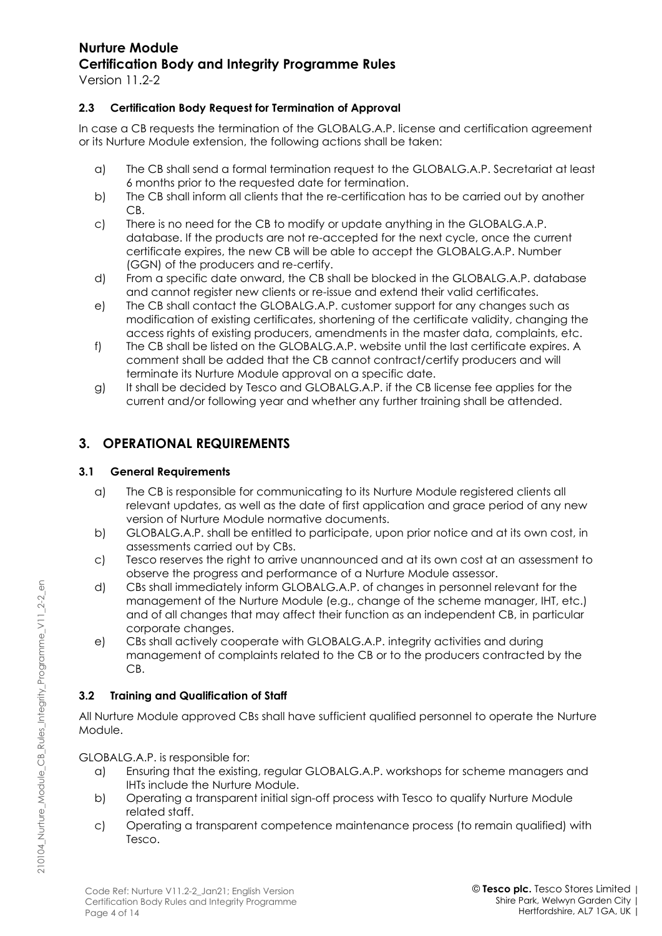Version 11.2-2

#### **2.3 Certification Body Request for Termination of Approval**

In case a CB requests the termination of the GLOBALG.A.P. license and certification agreement or its Nurture Module extension, the following actions shall be taken:

- a) The CB shall send a formal termination request to the GLOBALG.A.P. Secretariat at least 6 months prior to the requested date for termination.
- b) The CB shall inform all clients that the re-certification has to be carried out by another CB.
- c) There is no need for the CB to modify or update anything in the GLOBALG.A.P. database. If the products are not re-accepted for the next cycle, once the current certificate expires, the new CB will be able to accept the GLOBALG.A.P. Number (GGN) of the producers and re-certify.
- d) From a specific date onward, the CB shall be blocked in the GLOBALG.A.P. database and cannot register new clients or re-issue and extend their valid certificates.
- e) The CB shall contact the GLOBALG.A.P. customer support for any changes such as modification of existing certificates, shortening of the certificate validity, changing the access rights of existing producers, amendments in the master data, complaints, etc.
- f) The CB shall be listed on the GLOBALG.A.P. website until the last certificate expires. A comment shall be added that the CB cannot contract/certify producers and will terminate its Nurture Module approval on a specific date.
- g) It shall be decided by Tesco and GLOBALG.A.P. if the CB license fee applies for the current and/or following year and whether any further training shall be attended.

## **3. OPERATIONAL REQUIREMENTS**

#### **3.1 General Requirements**

- a) The CB is responsible for communicating to its Nurture Module registered clients all relevant updates, as well as the date of first application and grace period of any new version of Nurture Module normative documents.
- b) GLOBALG.A.P. shall be entitled to participate, upon prior notice and at its own cost, in assessments carried out by CBs.
- c) Tesco reserves the right to arrive unannounced and at its own cost at an assessment to observe the progress and performance of a Nurture Module assessor.
- d) CBs shall immediately inform GLOBALG.A.P. of changes in personnel relevant for the management of the Nurture Module (e.g., change of the scheme manager, IHT, etc.) and of all changes that may affect their function as an independent CB, in particular corporate changes.
- e) CBs shall actively cooperate with GLOBALG.A.P. integrity activities and during management of complaints related to the CB or to the producers contracted by the CB.

#### **3.2 Training and Qualification of Staff**

All Nurture Module approved CBs shall have sufficient qualified personnel to operate the Nurture Module.

GLOBALG.A.P. is responsible for:

210104\_Nurture\_Module\_CB\_Rules\_Integrity\_Programme\_V11\_2-2\_en

210104\_Nurture\_Module\_CB\_Rules\_Integrity\_Programme\_V11\_2-2\_en

- a) Ensuring that the existing, regular GLOBALG.A.P. workshops for scheme managers and IHTs include the Nurture Module.
- b) Operating a transparent initial sign-off process with Tesco to qualify Nurture Module related staff.
- c) Operating a transparent competence maintenance process (to remain qualified) with Tesco.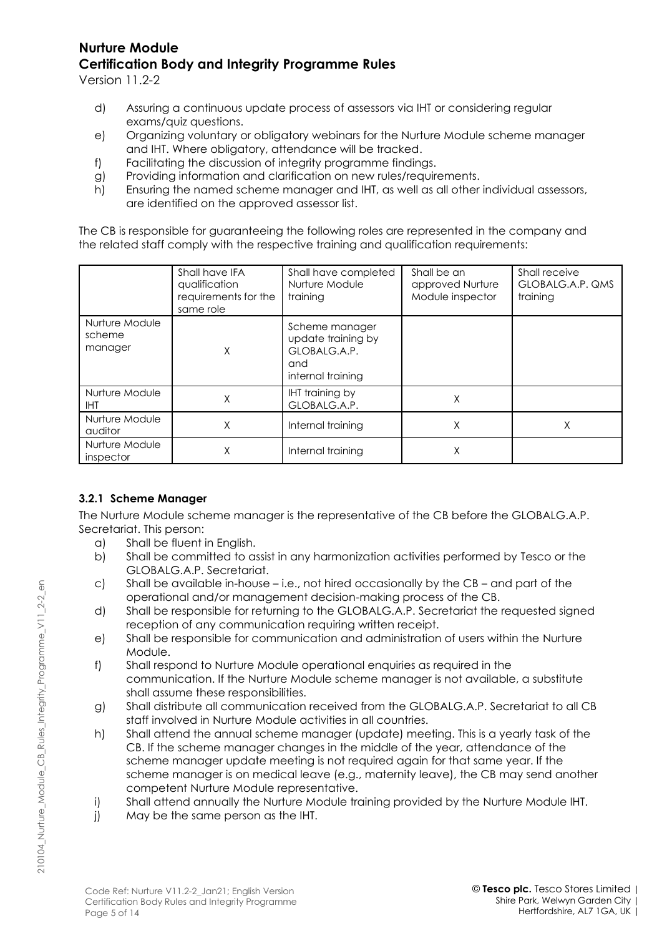Version 11.2-2

- d) Assuring a continuous update process of assessors via IHT or considering regular exams/quiz questions.
- e) Organizing voluntary or obligatory webinars for the Nurture Module scheme manager and IHT. Where obligatory, attendance will be tracked.
- f) Facilitating the discussion of integrity programme findings.
- g) Providing information and clarification on new rules/requirements.
- h) Ensuring the named scheme manager and IHT, as well as all other individual assessors, are identified on the approved assessor list.

The CB is responsible for guaranteeing the following roles are represented in the company and the related staff comply with the respective training and qualification requirements:

|                                     | Shall have IFA<br>qualification<br>requirements for the<br>same role | Shall have completed<br>Nurture Module<br>training                               | Shall be an<br>approved Nurture<br>Module inspector | Shall receive<br>GLOBALG.A.P. QMS<br>training |
|-------------------------------------|----------------------------------------------------------------------|----------------------------------------------------------------------------------|-----------------------------------------------------|-----------------------------------------------|
| Nurture Module<br>scheme<br>manager | X                                                                    | Scheme manager<br>update training by<br>GLOBALG.A.P.<br>and<br>internal training |                                                     |                                               |
| Nurture Module<br><b>IHT</b>        | X                                                                    | <b>IHT</b> training by<br>GLOBALG.A.P.                                           | X                                                   |                                               |
| Nurture Module<br>auditor           | Χ                                                                    | Internal training                                                                | Χ                                                   | Χ                                             |
| Nurture Module<br>inspector         | Χ                                                                    | Internal training                                                                | X                                                   |                                               |

#### **3.2.1 Scheme Manager**

The Nurture Module scheme manager is the representative of the CB before the GLOBALG.A.P. Secretariat. This person:

- a) Shall be fluent in English.
- b) Shall be committed to assist in any harmonization activities performed by Tesco or the GLOBALG.A.P. Secretariat.
- c) Shall be available in-house i.e., not hired occasionally by the CB and part of the operational and/or management decision-making process of the CB.
- d) Shall be responsible for returning to the GLOBALG.A.P. Secretariat the requested signed reception of any communication requiring written receipt.
- e) Shall be responsible for communication and administration of users within the Nurture Module.
- f) Shall respond to Nurture Module operational enquiries as required in the communication. If the Nurture Module scheme manager is not available, a substitute shall assume these responsibilities.
- g) Shall distribute all communication received from the GLOBALG.A.P. Secretariat to all CB staff involved in Nurture Module activities in all countries.
- h) Shall attend the annual scheme manager (update) meeting. This is a yearly task of the CB. If the scheme manager changes in the middle of the year, attendance of the scheme manager update meeting is not required again for that same year. If the scheme manager is on medical leave (e.g., maternity leave), the CB may send another competent Nurture Module representative.
- i) Shall attend annually the Nurture Module training provided by the Nurture Module IHT.
- j) May be the same person as the IHT.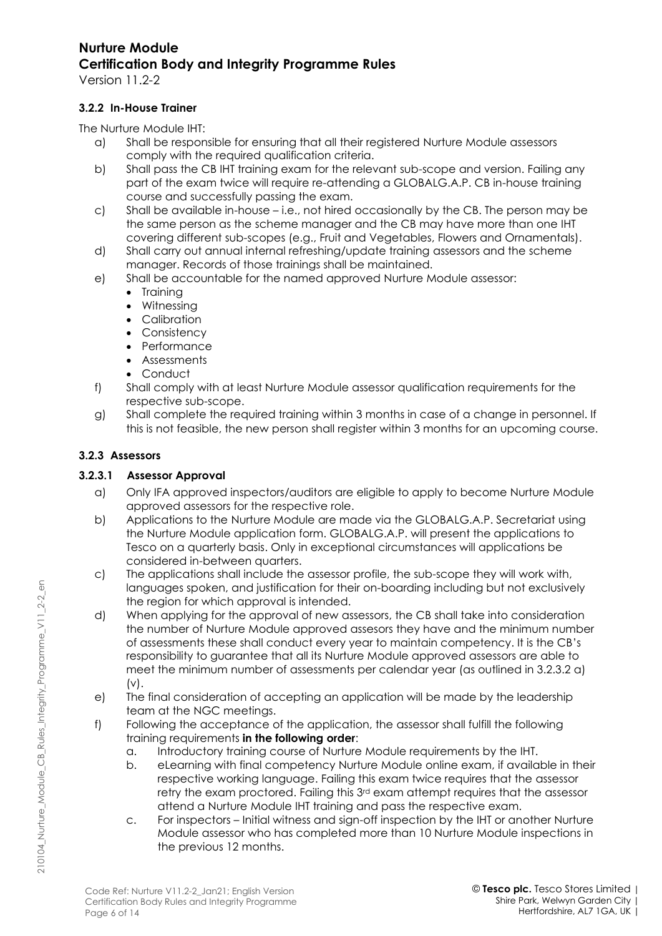Version 11.2-2

#### **3.2.2 In-House Trainer**

The Nurture Module IHT:

- a) Shall be responsible for ensuring that all their registered Nurture Module assessors comply with the required qualification criteria.
- b) Shall pass the CB IHT training exam for the relevant sub-scope and version. Failing any part of the exam twice will require re-attending a GLOBALG.A.P. CB in-house training course and successfully passing the exam.
- c) Shall be available in-house i.e., not hired occasionally by the CB. The person may be the same person as the scheme manager and the CB may have more than one IHT covering different sub-scopes (e.g., Fruit and Vegetables, Flowers and Ornamentals).
- d) Shall carry out annual internal refreshing/update training assessors and the scheme manager. Records of those trainings shall be maintained.
- e) Shall be accountable for the named approved Nurture Module assessor:
	- Training
	- Witnessing
	- Calibration
	- Consistency
	- Performance
	- Assessments
	- Conduct
- f) Shall comply with at least Nurture Module assessor qualification requirements for the respective sub-scope.
- g) Shall complete the required training within 3 months in case of a change in personnel. If this is not feasible, the new person shall register within 3 months for an upcoming course.

### **3.2.3 Assessors**

210104\_Nurture\_Module\_CB\_Rules\_Integrity\_Programme\_V11\_2-2\_en

210104 Nurture Module CB Rules Integrity Programme V11 2-2 en

### <span id="page-5-0"></span>**3.2.3.1 Assessor Approval**

- a) Only IFA approved inspectors/auditors are eligible to apply to become Nurture Module approved assessors for the respective role.
- b) Applications to the Nurture Module are made via the GLOBALG.A.P. Secretariat using the Nurture Module application form. GLOBALG.A.P. will present the applications to Tesco on a quarterly basis. Only in exceptional circumstances will applications be considered in-between quarters.
- c) The applications shall include the assessor profile, the sub-scope they will work with, languages spoken, and justification for their on-boarding including but not exclusively the region for which approval is intended.
- d) When applying for the approval of new assessors, the CB shall take into consideration the number of Nurture Module approved assesors they have and the minimum number of assessments these shall conduct every year to maintain competency. It is the CB's responsibility to guarantee that all its Nurture Module approved assessors are able to meet the minimum number of assessments per calendar year (as outlined in 3.2.3.2 a)  $(v)$ .
- e) The final consideration of accepting an application will be made by the leadership team at the NGC meetings.
- <span id="page-5-1"></span>f) Following the acceptance of the application, the assessor shall fulfill the following training requirements **in the following order**:
	- a. Introductory training course of Nurture Module requirements by the IHT.
	- b. eLearning with final competency Nurture Module online exam, if available in their respective working language. Failing this exam twice requires that the assessor retry the exam proctored. Failing this 3rd exam attempt requires that the assessor attend a Nurture Module IHT training and pass the respective exam.
	- c. For inspectors Initial witness and sign-off inspection by the IHT or another Nurture Module assessor who has completed more than 10 Nurture Module inspections in the previous 12 months.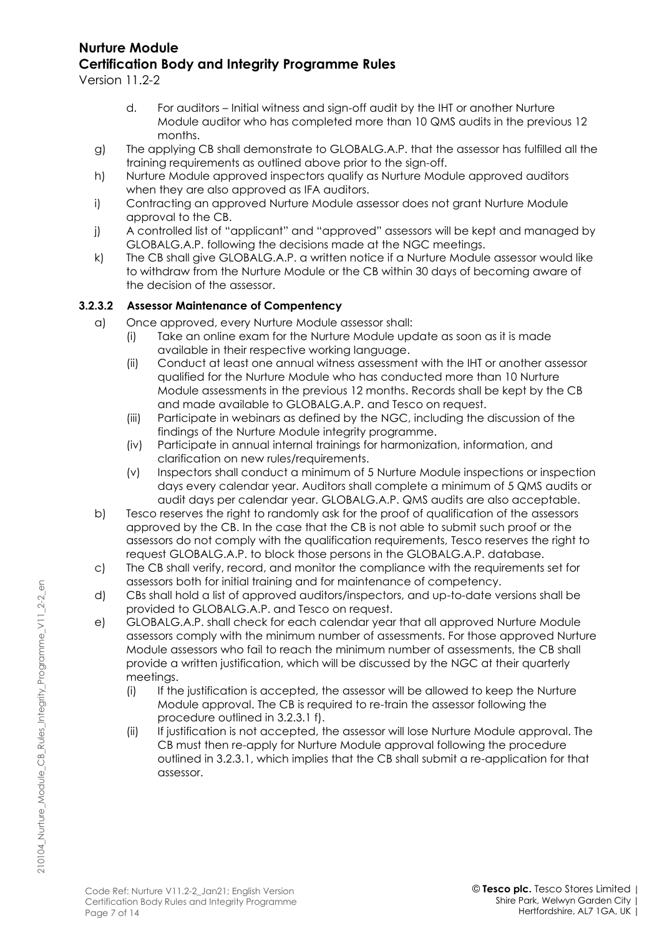Version 11.2-2

- d. For auditors Initial witness and sign-off audit by the IHT or another Nurture Module auditor who has completed more than 10 QMS audits in the previous 12 months.
- g) The applying CB shall demonstrate to GLOBALG.A.P. that the assessor has fulfilled all the training requirements as outlined above prior to the sign-off.
- h) Nurture Module approved inspectors qualify as Nurture Module approved auditors when they are also approved as IFA auditors.
- i) Contracting an approved Nurture Module assessor does not grant Nurture Module approval to the CB.
- j) A controlled list of "applicant" and "approved" assessors will be kept and managed by GLOBALG.A.P. following the decisions made at the NGC meetings.
- k) The CB shall give GLOBALG.A.P. a written notice if a Nurture Module assessor would like to withdraw from the Nurture Module or the CB within 30 days of becoming aware of the decision of the assessor.

#### <span id="page-6-0"></span>**3.2.3.2 Assessor Maintenance of Compentency**

- a) Once approved, every Nurture Module assessor shall:
	- (i) Take an online exam for the Nurture Module update as soon as it is made available in their respective working language.
	- (ii) Conduct at least one annual witness assessment with the IHT or another assessor qualified for the Nurture Module who has conducted more than 10 Nurture Module assessments in the previous 12 months. Records shall be kept by the CB and made available to GLOBALG.A.P. and Tesco on request.
	- (iii) Participate in webinars as defined by the NGC, including the discussion of the findings of the Nurture Module integrity programme.
	- (iv) Participate in annual internal trainings for harmonization, information, and clarification on new rules/requirements.
	- (v) Inspectors shall conduct a minimum of 5 Nurture Module inspections or inspection days every calendar year. Auditors shall complete a minimum of 5 QMS audits or audit days per calendar year. GLOBALG.A.P. QMS audits are also acceptable.
- b) Tesco reserves the right to randomly ask for the proof of qualification of the assessors approved by the CB. In the case that the CB is not able to submit such proof or the assessors do not comply with the qualification requirements, Tesco reserves the right to request GLOBALG.A.P. to block those persons in the GLOBALG.A.P. database.
- c) The CB shall verify, record, and monitor the compliance with the requirements set for assessors both for initial training and for maintenance of competency.
- d) CBs shall hold a list of approved auditors/inspectors, and up-to-date versions shall be provided to GLOBALG.A.P. and Tesco on request.
- e) GLOBALG.A.P. shall check for each calendar year that all approved Nurture Module assessors comply with the minimum number of assessments. For those approved Nurture Module assessors who fail to reach the minimum number of assessments, the CB shall provide a written justification, which will be discussed by the NGC at their quarterly meetings.
	- (i) If the justification is accepted, the assessor will be allowed to keep the Nurture Module approval. The CB is required to re-train the assessor following the procedure outlined in 3.2.3.1 f).
	- (ii) If justification is not accepted, the assessor will lose Nurture Module approval. The CB must then re-apply for Nurture Module approval following the procedure outlined in 3.2.3.1, which implies that the CB shall submit a re-application for that assessor.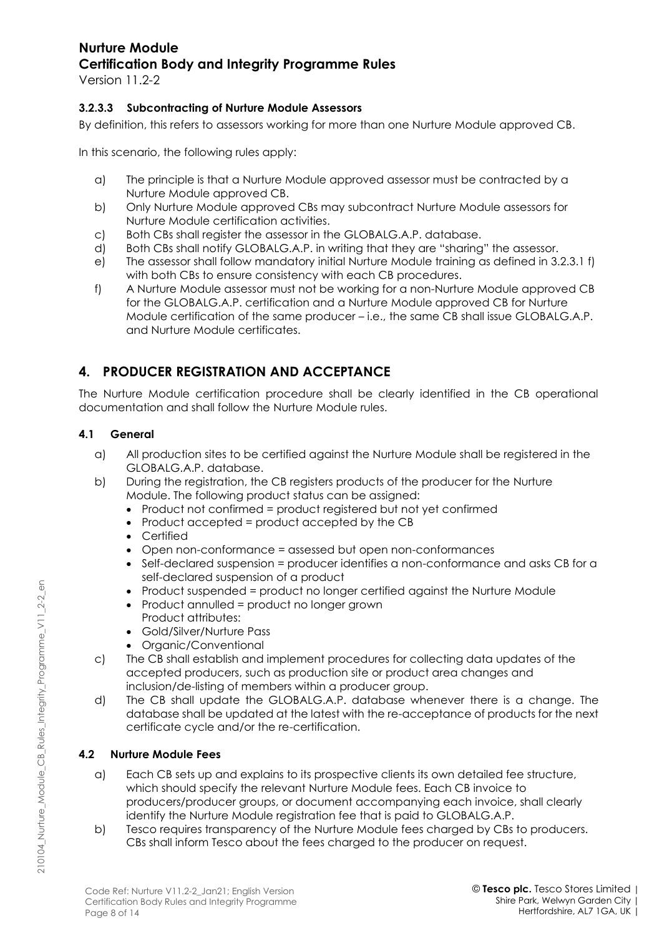Version 11.2-2

#### **3.2.3.3 Subcontracting of Nurture Module Assessors**

By definition, this refers to assessors working for more than one Nurture Module approved CB.

In this scenario, the following rules apply:

- a) The principle is that a Nurture Module approved assessor must be contracted by a Nurture Module approved CB.
- b) Only Nurture Module approved CBs may subcontract Nurture Module assessors for Nurture Module certification activities.
- c) Both CBs shall register the assessor in the GLOBALG.A.P. database.
- d) Both CBs shall notify GLOBALG.A.P. in writing that they are "sharing" the assessor.
- e) The assessor shall follow mandatory initial Nurture Module training as defined in [3.2.3.1](#page-5-0) [f\)](#page-5-1) with both CBs to ensure consistency with each CB procedures.
- f) A Nurture Module assessor must not be working for a non-Nurture Module approved CB for the GLOBALG.A.P. certification and a Nurture Module approved CB for Nurture Module certification of the same producer – i.e., the same CB shall issue GLOBALG.A.P. and Nurture Module certificates.

## **4. PRODUCER REGISTRATION AND ACCEPTANCE**

The Nurture Module certification procedure shall be clearly identified in the CB operational documentation and shall follow the Nurture Module rules.

#### **4.1 General**

- a) All production sites to be certified against the Nurture Module shall be registered in the GLOBALG.A.P. database.
- b) During the registration, the CB registers products of the producer for the Nurture Module. The following product status can be assigned:
	- Product not confirmed = product registered but not yet confirmed
	- Product accepted = product accepted by the CB
	- Certified
	- Open non-conformance = assessed but open non-conformances
	- Self-declared suspension = producer identifies a non-conformance and asks CB for a self-declared suspension of a product
	- Product suspended = product no longer certified against the Nurture Module
	- Product annulled = product no longer grown Product attributes:
	- Gold/Silver/Nurture Pass
	- Organic/Conventional
- c) The CB shall establish and implement procedures for collecting data updates of the accepted producers, such as production site or product area changes and inclusion/de-listing of members within a producer group.
- d) The CB shall update the GLOBALG.A.P. database whenever there is a change. The database shall be updated at the latest with the re-acceptance of products for the next certificate cycle and/or the re-certification.

#### **4.2 Nurture Module Fees**

- a) Each CB sets up and explains to its prospective clients its own detailed fee structure, which should specify the relevant Nurture Module fees. Each CB invoice to producers/producer groups, or document accompanying each invoice, shall clearly identify the Nurture Module registration fee that is paid to GLOBALG.A.P.
- b) Tesco requires transparency of the Nurture Module fees charged by CBs to producers. CBs shall inform Tesco about the fees charged to the producer on request.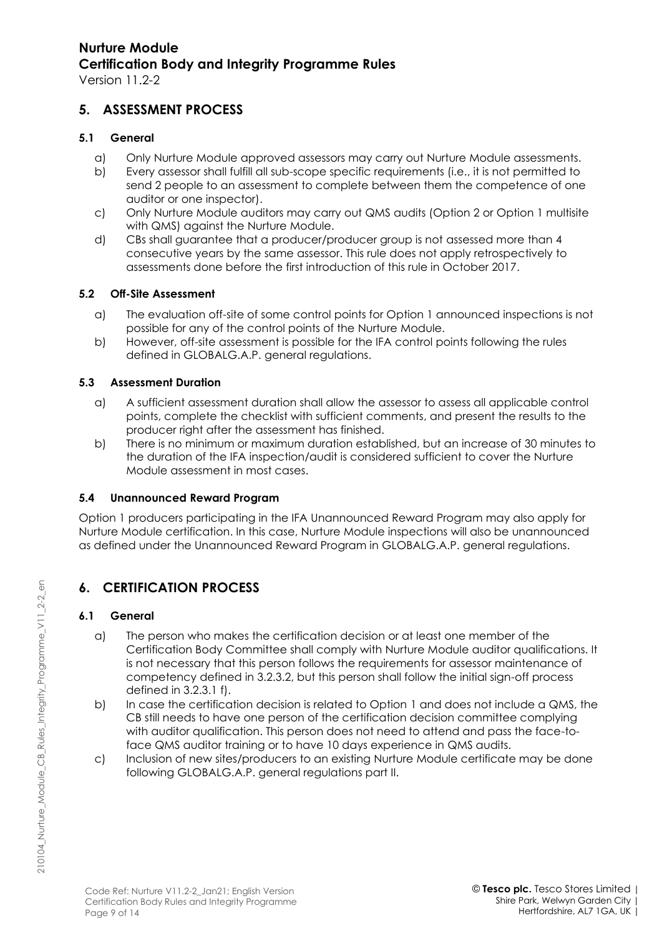Version 11.2-2

### **5. ASSESSMENT PROCESS**

#### **5.1 General**

- a) Only Nurture Module approved assessors may carry out Nurture Module assessments.
- b) Every assessor shall fulfill all sub-scope specific requirements (i.e., it is not permitted to send 2 people to an assessment to complete between them the competence of one auditor or one inspector).
- c) Only Nurture Module auditors may carry out QMS audits (Option 2 or Option 1 multisite with QMS) against the Nurture Module.
- d) CBs shall guarantee that a producer/producer group is not assessed more than 4 consecutive years by the same assessor. This rule does not apply retrospectively to assessments done before the first introduction of this rule in October 2017.

#### **5.2 Off-Site Assessment**

- a) The evaluation off-site of some control points for Option 1 announced inspections is not possible for any of the control points of the Nurture Module.
- b) However, off-site assessment is possible for the IFA control points following the rules defined in GLOBALG.A.P. general regulations.

#### **5.3 Assessment Duration**

- a) A sufficient assessment duration shall allow the assessor to assess all applicable control points, complete the checklist with sufficient comments, and present the results to the producer right after the assessment has finished.
- b) There is no minimum or maximum duration established, but an increase of 30 minutes to the duration of the IFA inspection/audit is considered sufficient to cover the Nurture Module assessment in most cases.

#### **5.4 Unannounced Reward Program**

Option 1 producers participating in the IFA Unannounced Reward Program may also apply for Nurture Module certification. In this case, Nurture Module inspections will also be unannounced as defined under the Unannounced Reward Program in GLOBALG.A.P. general regulations.

## **6. CERTIFICATION PROCESS**

#### **6.1 General**

- a) The person who makes the certification decision or at least one member of the Certification Body Committee shall comply with Nurture Module auditor qualifications. It is not necessary that this person follows the requirements for assessor maintenance of competency defined in [3.2.3.2,](#page-6-0) but this person shall follow the initial sign-off process defined in [3.2.3.1](#page-5-0) [f\).](#page-5-1)
- b) In case the certification decision is related to Option 1 and does not include a QMS, the CB still needs to have one person of the certification decision committee complying with auditor qualification. This person does not need to attend and pass the face-toface QMS auditor training or to have 10 days experience in QMS audits.
- c) Inclusion of new sites/producers to an existing Nurture Module certificate may be done following GLOBALG.A.P. general regulations part II.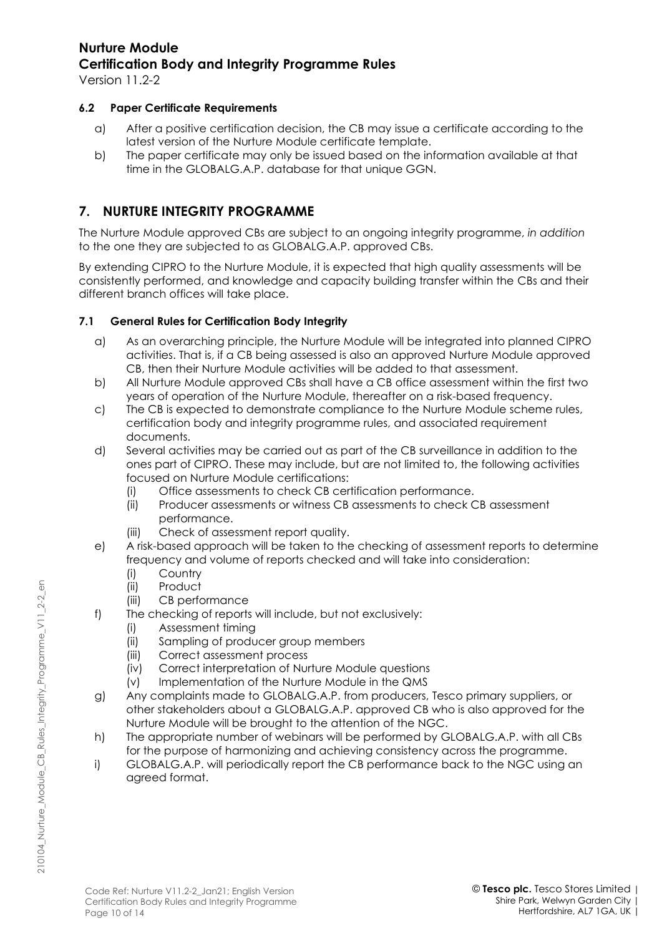Version 11.2-2

#### **6.2 Paper Certificate Requirements**

- a) After a positive certification decision, the CB may issue a certificate according to the latest version of the Nurture Module certificate template.
- b) The paper certificate may only be issued based on the information available at that time in the GLOBALG.A.P. database for that unique GGN.

### **7. NURTURE INTEGRITY PROGRAMME**

The Nurture Module approved CBs are subject to an ongoing integrity programme, *in addition* to the one they are subjected to as GLOBALG.A.P. approved CBs.

By extending CIPRO to the Nurture Module, it is expected that high quality assessments will be consistently performed, and knowledge and capacity building transfer within the CBs and their different branch offices will take place.

#### **7.1 General Rules for Certification Body Integrity**

- a) As an overarching principle, the Nurture Module will be integrated into planned CIPRO activities. That is, if a CB being assessed is also an approved Nurture Module approved CB, then their Nurture Module activities will be added to that assessment.
- b) All Nurture Module approved CBs shall have a CB office assessment within the first two years of operation of the Nurture Module, thereafter on a risk-based frequency.
- c) The CB is expected to demonstrate compliance to the Nurture Module scheme rules, certification body and integrity programme rules, and associated requirement documents.
- d) Several activities may be carried out as part of the CB surveillance in addition to the ones part of CIPRO. These may include, but are not limited to, the following activities focused on Nurture Module certifications:
	- (i) Office assessments to check CB certification performance.
	- (ii) Producer assessments or witness CB assessments to check CB assessment performance.
	- (iii) Check of assessment report quality.
- e) A risk-based approach will be taken to the checking of assessment reports to determine frequency and volume of reports checked and will take into consideration:
	- (i) Country
	- (ii) Product
	- (iii) CB performance
- f) The checking of reports will include, but not exclusively:
	- (i) Assessment timing
	- (ii) Sampling of producer group members
	- (iii) Correct assessment process
	- (iv) Correct interpretation of Nurture Module questions
	- (v) Implementation of the Nurture Module in the QMS
- g) Any complaints made to GLOBALG.A.P. from producers, Tesco primary suppliers, or other stakeholders about a GLOBALG.A.P. approved CB who is also approved for the Nurture Module will be brought to the attention of the NGC.
- h) The appropriate number of webinars will be performed by GLOBALG.A.P. with all CBs for the purpose of harmonizing and achieving consistency across the programme.
- i) GLOBALG.A.P. will periodically report the CB performance back to the NGC using an agreed format.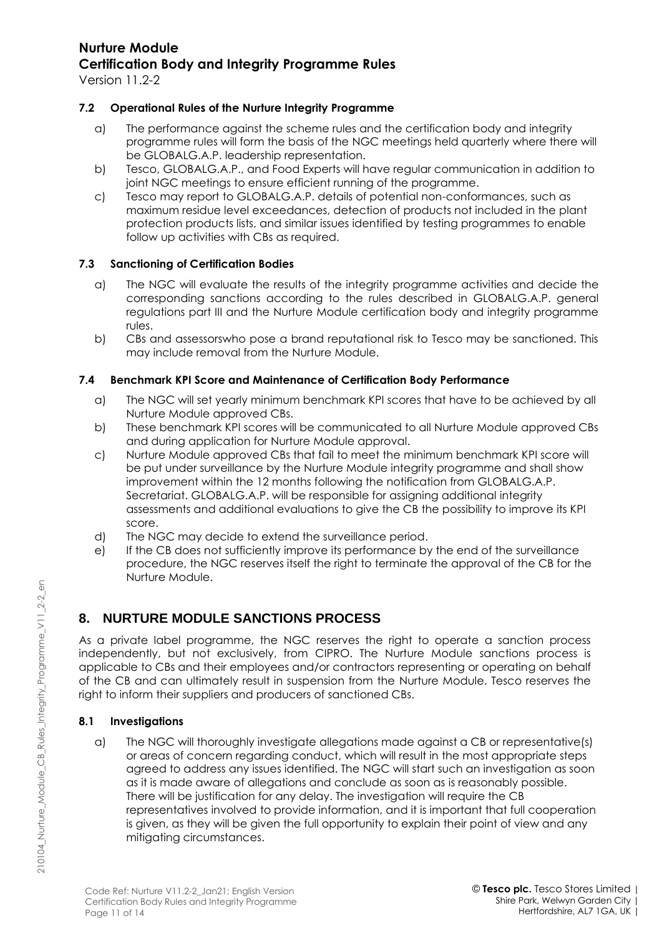Version 11.2-2

#### **7.2 Operational Rules of the Nurture Integrity Programme**

- a) The performance against the scheme rules and the certification body and integrity programme rules will form the basis of the NGC meetings held quarterly where there will be GLOBALG.A.P. leadership representation.
- b) Tesco, GLOBALG.A.P., and Food Experts will have regular communication in addition to joint NGC meetings to ensure efficient running of the programme.
- c) Tesco may report to GLOBALG.A.P. details of potential non-conformances, such as maximum residue level exceedances, detection of products not included in the plant protection products lists, and similar issues identified by testing programmes to enable follow up activities with CBs as required.

#### **7.3 Sanctioning of Certification Bodies**

- a) The NGC will evaluate the results of the integrity programme activities and decide the corresponding sanctions according to the rules described in GLOBALG.A.P. general regulations part III and the Nurture Module certification body and integrity programme rules.
- b) CBs and assessorswho pose a brand reputational risk to Tesco may be sanctioned. This may include removal from the Nurture Module.

#### **7.4 Benchmark KPI Score and Maintenance of Certification Body Performance**

- a) The NGC will set yearly minimum benchmark KPI scores that have to be achieved by all Nurture Module approved CBs.
- b) These benchmark KPI scores will be communicated to all Nurture Module approved CBs and during application for Nurture Module approval.
- c) Nurture Module approved CBs that fail to meet the minimum benchmark KPI score will be put under surveillance by the Nurture Module integrity programme and shall show improvement within the 12 months following the notification from GLOBALG.A.P. Secretariat. GLOBALG.A.P. will be responsible for assigning additional integrity assessments and additional evaluations to give the CB the possibility to improve its KPI score.
- d) The NGC may decide to extend the surveillance period.
- e) If the CB does not sufficiently improve its performance by the end of the surveillance procedure, the NGC reserves itself the right to terminate the approval of the CB for the Nurture Module.

## **8. NURTURE MODULE SANCTIONS PROCESS**

As a private label programme, the NGC reserves the right to operate a sanction process independently, but not exclusively, from CIPRO. The Nurture Module sanctions process is applicable to CBs and their employees and/or contractors representing or operating on behalf of the CB and can ultimately result in suspension from the Nurture Module. Tesco reserves the right to inform their suppliers and producers of sanctioned CBs.

#### **8.1 Investigations**

a) The NGC will thoroughly investigate allegations made against a CB or representative(s) or areas of concern regarding conduct, which will result in the most appropriate steps agreed to address any issues identified. The NGC will start such an investigation as soon as it is made aware of allegations and conclude as soon as is reasonably possible. There will be justification for any delay. The investigation will require the CB representatives involved to provide information, and it is important that full cooperation is given, as they will be given the full opportunity to explain their point of view and any mitigating circumstances.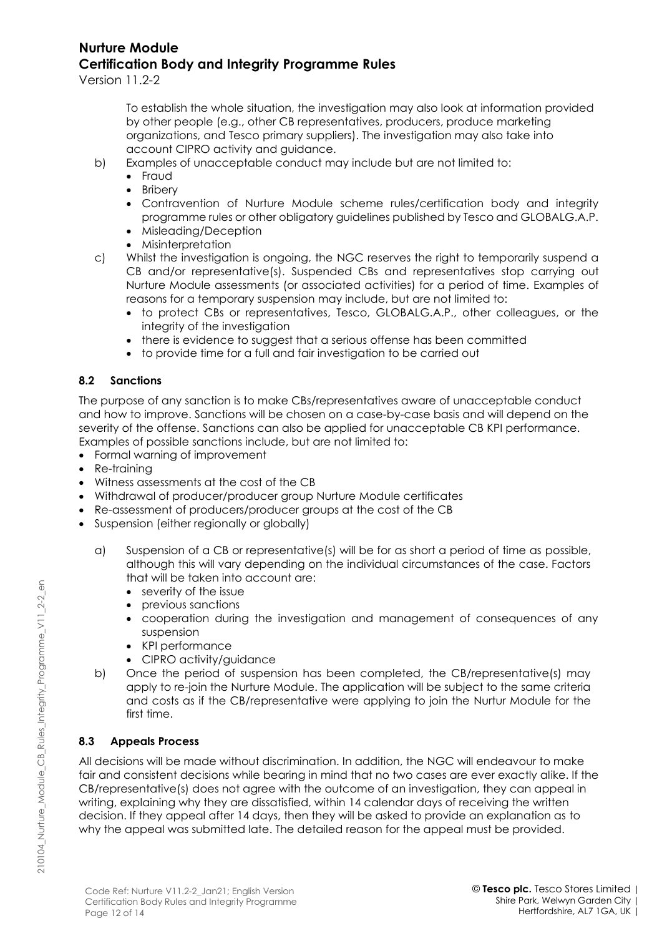Version 11.2-2

To establish the whole situation, the investigation may also look at information provided by other people (e.g., other CB representatives, producers, produce marketing organizations, and Tesco primary suppliers). The investigation may also take into account CIPRO activity and guidance.

- b) Examples of unacceptable conduct may include but are not limited to:
	- Fraud
	- Bribery
	- Contravention of Nurture Module scheme rules/certification body and integrity programme rules or other obligatory guidelines published by Tesco and GLOBALG.A.P.
	- Misleading/Deception
	- Misinterpretation
- c) Whilst the investigation is ongoing, the NGC reserves the right to temporarily suspend a CB and/or representative(s). Suspended CBs and representatives stop carrying out Nurture Module assessments (or associated activities) for a period of time. Examples of reasons for a temporary suspension may include, but are not limited to:
	- to protect CBs or representatives, Tesco, GLOBALG.A.P., other colleagues, or the integrity of the investigation
	- there is evidence to suggest that a serious offense has been committed
	- to provide time for a full and fair investigation to be carried out

#### **8.2 Sanctions**

The purpose of any sanction is to make CBs/representatives aware of unacceptable conduct and how to improve. Sanctions will be chosen on a case-by-case basis and will depend on the severity of the offense. Sanctions can also be applied for unacceptable CB KPI performance. Examples of possible sanctions include, but are not limited to:

- Formal warning of improvement
- Re-training
- Witness assessments at the cost of the CB
- Withdrawal of producer/producer group Nurture Module certificates
- Re-assessment of producers/producer groups at the cost of the CB
- Suspension (either regionally or globally)
	- a) Suspension of a CB or representative(s) will be for as short a period of time as possible, although this will vary depending on the individual circumstances of the case. Factors that will be taken into account are:
		- severity of the issue
		- previous sanctions
		- cooperation during the investigation and management of consequences of any suspension
		- KPI performance
		- CIPRO activity/guidance
	- b) Once the period of suspension has been completed, the CB/representative(s) may apply to re-join the Nurture Module. The application will be subject to the same criteria and costs as if the CB/representative were applying to join the Nurtur Module for the first time.

#### **8.3 Appeals Process**

All decisions will be made without discrimination. In addition, the NGC will endeavour to make fair and consistent decisions while bearing in mind that no two cases are ever exactly alike. If the CB/representative(s) does not agree with the outcome of an investigation, they can appeal in writing, explaining why they are dissatisfied, within 14 calendar days of receiving the written decision. If they appeal after 14 days, then they will be asked to provide an explanation as to why the appeal was submitted late. The detailed reason for the appeal must be provided.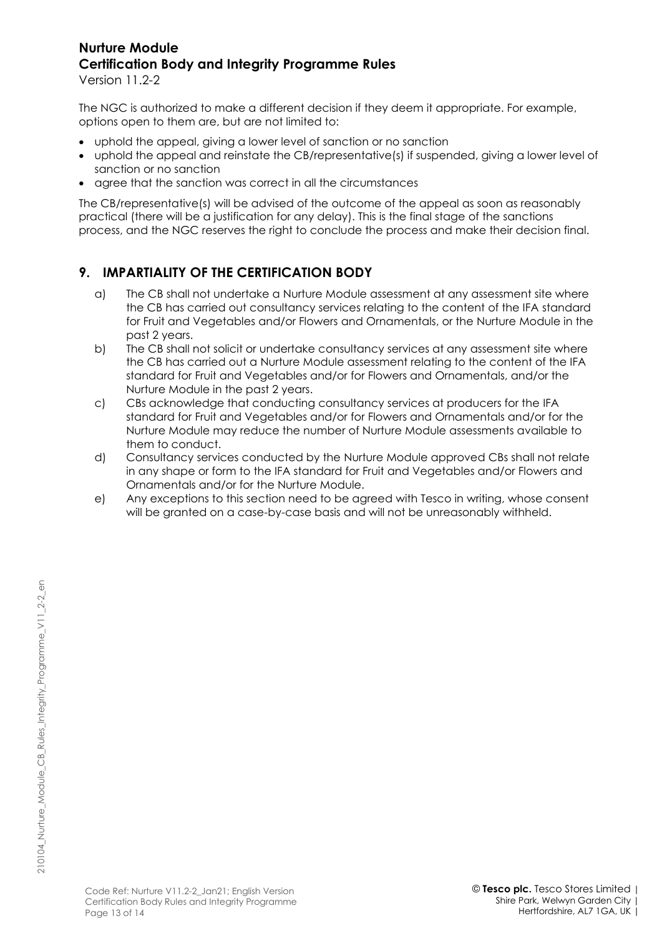Version 11.2-2

The NGC is authorized to make a different decision if they deem it appropriate. For example, options open to them are, but are not limited to:

- uphold the appeal, giving a lower level of sanction or no sanction
- uphold the appeal and reinstate the CB/representative(s) if suspended, giving a lower level of sanction or no sanction
- agree that the sanction was correct in all the circumstances

The CB/representative(s) will be advised of the outcome of the appeal as soon as reasonably practical (there will be a justification for any delay). This is the final stage of the sanctions process, and the NGC reserves the right to conclude the process and make their decision final.

## **9. IMPARTIALITY OF THE CERTIFICATION BODY**

- a) The CB shall not undertake a Nurture Module assessment at any assessment site where the CB has carried out consultancy services relating to the content of the IFA standard for Fruit and Vegetables and/or Flowers and Ornamentals, or the Nurture Module in the past 2 years.
- b) The CB shall not solicit or undertake consultancy services at any assessment site where the CB has carried out a Nurture Module assessment relating to the content of the IFA standard for Fruit and Vegetables and/or for Flowers and Ornamentals, and/or the Nurture Module in the past 2 years.
- c) CBs acknowledge that conducting consultancy services at producers for the IFA standard for Fruit and Vegetables and/or for Flowers and Ornamentals and/or for the Nurture Module may reduce the number of Nurture Module assessments available to them to conduct.
- d) Consultancy services conducted by the Nurture Module approved CBs shall not relate in any shape or form to the IFA standard for Fruit and Vegetables and/or Flowers and Ornamentals and/or for the Nurture Module.
- e) Any exceptions to this section need to be agreed with Tesco in writing, whose consent will be granted on a case-by-case basis and will not be unreasonably withheld.